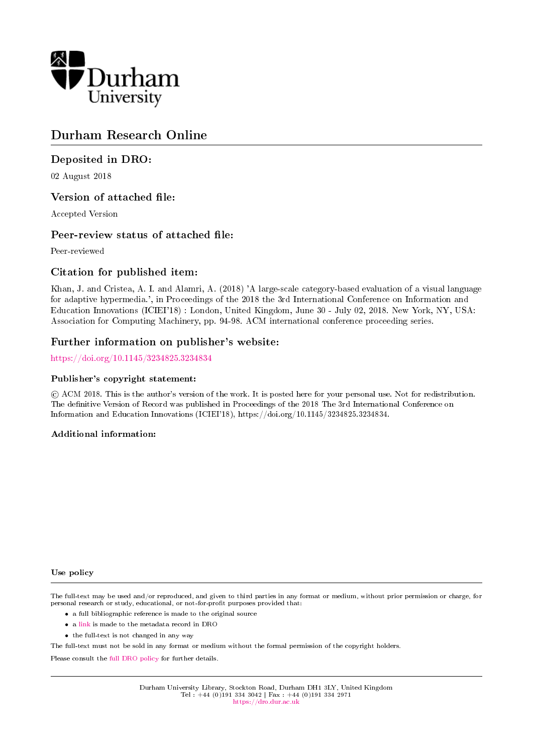

## Durham Research Online

## Deposited in DRO:

02 August 2018

## Version of attached file:

Accepted Version

## Peer-review status of attached file:

Peer-reviewed

## Citation for published item:

Khan, J. and Cristea, A. I. and Alamri, A. (2018) 'A large-scale category-based evaluation of a visual language for adaptive hypermedia.', in Proceedings of the 2018 the 3rd International Conference on Information and Education Innovations (ICIEI'18) : London, United Kingdom, June 30 - July 02, 2018. New York, NY, USA: Association for Computing Machinery, pp. 94-98. ACM international conference proceeding series.

## Further information on publisher's website:

## <https://doi.org/10.1145/3234825.3234834>

#### Publisher's copyright statement:

 c ACM 2018. This is the author's version of the work. It is posted here for your personal use. Not for redistribution. The definitive Version of Record was published in Proceedings of the 2018 The 3rd International Conference on Information and Education Innovations (ICIEI'18), https://doi.org/10.1145/3234825.3234834.

#### Additional information:

#### Use policy

The full-text may be used and/or reproduced, and given to third parties in any format or medium, without prior permission or charge, for personal research or study, educational, or not-for-profit purposes provided that:

- a full bibliographic reference is made to the original source
- a [link](http://dro.dur.ac.uk/25779/) is made to the metadata record in DRO
- the full-text is not changed in any way

The full-text must not be sold in any format or medium without the formal permission of the copyright holders.

Please consult the [full DRO policy](https://dro.dur.ac.uk/policies/usepolicy.pdf) for further details.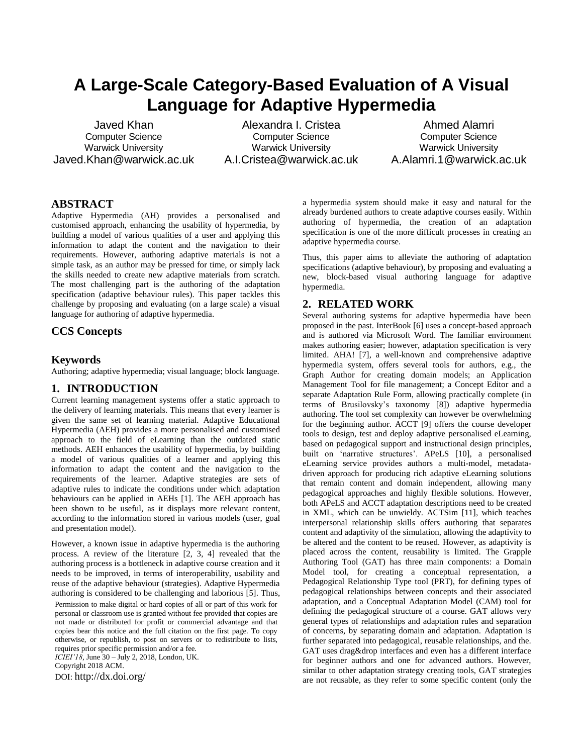# **A Large-Scale Category-Based Evaluation of A Visual Language for Adaptive Hypermedia**

Javed Khan Computer Science Warwick University Javed.Khan@warwick.ac.uk

Alexandra I. Cristea Computer Science Warwick University [A.I.Cristea@warwick.ac.uk](mailto:A.I.Cristea@warwick.ac.uk)

Ahmed Alamri Computer Science Warwick University [A.Alamri.1@warwick.ac.uk](mailto:A.Alamri.1@warwick.ac.uk)

## **ABSTRACT**

Adaptive Hypermedia (AH) provides a personalised and customised approach, enhancing the usability of hypermedia, by building a model of various qualities of a user and applying this information to adapt the content and the navigation to their requirements. However, authoring adaptive materials is not a simple task, as an author may be pressed for time, or simply lack the skills needed to create new adaptive materials from scratch. The most challenging part is the authoring of the adaptation specification (adaptive behaviour rules). This paper tackles this challenge by proposing and evaluating (on a large scale) a visual language for authoring of adaptive hypermedia.

#### **CCS Concepts**

#### **Keywords**

Authoring; adaptive hypermedia; visual language; block language.

#### **1. INTRODUCTION**

Current learning management systems offer a static approach to the delivery of learning materials. This means that every learner is given the same set of learning material. Adaptive Educational Hypermedia (AEH) provides a more personalised and customised approach to the field of eLearning than the outdated static methods. AEH enhances the usability of hypermedia, by building a model of various qualities of a learner and applying this information to adapt the content and the navigation to the requirements of the learner. Adaptive strategies are sets of adaptive rules to indicate the conditions under which adaptation behaviours can be applied in AEHs [1]. The AEH approach has been shown to be useful, as it displays more relevant content, according to the information stored in various models (user, goal and presentation model).

However, a known issue in adaptive hypermedia is the authoring process. A review of the literature [2, 3, 4] revealed that the authoring process is a bottleneck in adaptive course creation and it needs to be improved, in terms of interoperability, usability and reuse of the adaptive behaviour (strategies). Adaptive Hypermedia authoring is considered to be challenging and laborious [5]. Thus, Permission to make digital or hard copies of all or part of this work for personal or classroom use is granted without fee provided that copies are not made or distributed for profit or commercial advantage and that copies bear this notice and the full citation on the first page. To copy otherwise, or republish, to post on servers or to redistribute to lists, requires prior specific permission and/or a fee.

*ICIEI'18*, June 30 – July 2, 2018, London, UK.

Copyright 2018 ACM.

DOI: http://dx.doi.org/

a hypermedia system should make it easy and natural for the already burdened authors to create adaptive courses easily. Within authoring of hypermedia, the creation of an adaptation specification is one of the more difficult processes in creating an adaptive hypermedia course.

Thus, this paper aims to alleviate the authoring of adaptation specifications (adaptive behaviour), by proposing and evaluating a new, block-based visual authoring language for adaptive hypermedia.

#### **2. RELATED WORK**

Several authoring systems for adaptive hypermedia have been proposed in the past. InterBook [6] uses a concept-based approach and is authored via Microsoft Word. The familiar environment makes authoring easier; however, adaptation specification is very limited. AHA! [7], a well-known and comprehensive adaptive hypermedia system, offers several tools for authors, e.g., the Graph Author for creating domain models; an Application Management Tool for file management; a Concept Editor and a separate Adaptation Rule Form, allowing practically complete (in terms of Brusilovsky's taxonomy [8]) adaptive hypermedia authoring. The tool set complexity can however be overwhelming for the beginning author. ACCT [9] offers the course developer tools to design, test and deploy adaptive personalised eLearning, based on pedagogical support and instructional design principles, built on 'narrative structures'. APeLS [10], a personalised eLearning service provides authors a multi-model, metadatadriven approach for producing rich adaptive eLearning solutions that remain content and domain independent, allowing many pedagogical approaches and highly flexible solutions. However, both APeLS and ACCT adaptation descriptions need to be created in XML, which can be unwieldy. ACTSim [11], which teaches interpersonal relationship skills offers authoring that separates content and adaptivity of the simulation, allowing the adaptivity to be altered and the content to be reused. However, as adaptivity is placed across the content, reusability is limited. The Grapple Authoring Tool (GAT) has three main components: a Domain Model tool, for creating a conceptual representation, a Pedagogical Relationship Type tool (PRT), for defining types of pedagogical relationships between concepts and their associated adaptation, and a Conceptual Adaptation Model (CAM) tool for defining the pedagogical structure of a course. GAT allows very general types of relationships and adaptation rules and separation of concerns, by separating domain and adaptation. Adaptation is further separated into pedagogical, reusable relationships, and the. GAT uses drag&drop interfaces and even has a different interface for beginner authors and one for advanced authors. However, similar to other adaptation strategy creating tools, GAT strategies are not reusable, as they refer to some specific content (only the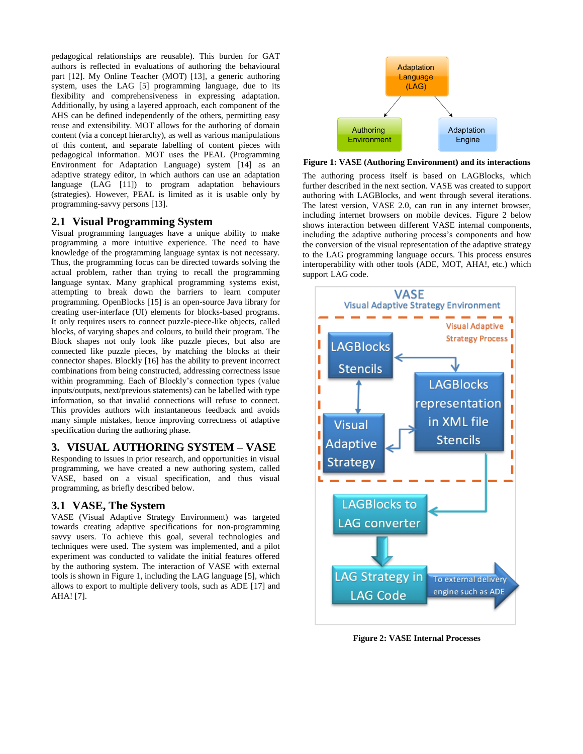pedagogical relationships are reusable). This burden for GAT authors is reflected in evaluations of authoring the behavioural part [12]. My Online Teacher (MOT) [13], a generic authoring system, uses the LAG [5] programming language, due to its flexibility and comprehensiveness in expressing adaptation. Additionally, by using a layered approach, each component of the AHS can be defined independently of the others, permitting easy reuse and extensibility. MOT allows for the authoring of domain content (via a concept hierarchy), as well as various manipulations of this content, and separate labelling of content pieces with pedagogical information. MOT uses the PEAL (Programming Environment for Adaptation Language) system [14] as an adaptive strategy editor, in which authors can use an adaptation language (LAG [11]) to program adaptation behaviours (strategies). However, PEAL is limited as it is usable only by programming-savvy persons [13].

#### **2.1 Visual Programming System**

Visual programming languages have a unique ability to make programming a more intuitive experience. The need to have knowledge of the programming language syntax is not necessary. Thus, the programming focus can be directed towards solving the actual problem, rather than trying to recall the programming language syntax. Many graphical programming systems exist, attempting to break down the barriers to learn computer programming. OpenBlocks [15] is an open-source Java library for creating user-interface (UI) elements for blocks-based programs. It only requires users to connect puzzle-piece-like objects, called blocks, of varying shapes and colours, to build their program. The Block shapes not only look like puzzle pieces, but also are connected like puzzle pieces, by matching the blocks at their connector shapes. Blockly [16] has the ability to prevent incorrect combinations from being constructed, addressing correctness issue within programming. Each of Blockly's connection types (value inputs/outputs, next/previous statements) can be labelled with type information, so that invalid connections will refuse to connect. This provides authors with instantaneous feedback and avoids many simple mistakes, hence improving correctness of adaptive specification during the authoring phase.

#### **3. VISUAL AUTHORING SYSTEM – VASE**

Responding to issues in prior research, and opportunities in visual programming, we have created a new authoring system, called VASE, based on a visual specification, and thus visual programming, as briefly described below.

#### **3.1 VASE, The System**

VASE (Visual Adaptive Strategy Environment) was targeted towards creating adaptive specifications for non-programming savvy users. To achieve this goal, several technologies and techniques were used. The system was implemented, and a pilot experiment was conducted to validate the initial features offered by the authoring system. The interaction of VASE with external tools is shown in [Figure 1,](#page-2-0) including the LAG language [5], which allows to export to multiple delivery tools, such as ADE [17] and AHA! [7].



<span id="page-2-0"></span>**Figure 1: VASE (Authoring Environment) and its interactions**

The authoring process itself is based on LAGBlocks, which further described in the next section. VASE was created to support authoring with LAGBlocks, and went through several iterations. The latest version, VASE 2.0, can run in any internet browser, including internet browsers on mobile devices. [Figure 2](#page-2-1) below shows interaction between different VASE internal components, including the adaptive authoring process's components and how the conversion of the visual representation of the adaptive strategy to the LAG programming language occurs. This process ensures interoperability with other tools (ADE, MOT, AHA!, etc.) which support LAG code.



<span id="page-2-1"></span>**Figure 2: VASE Internal Processes**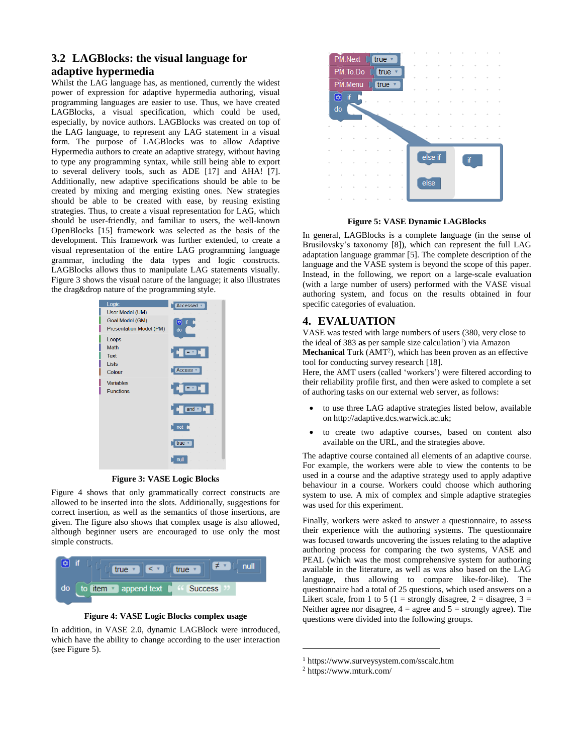## **3.2 LAGBlocks: the visual language for adaptive hypermedia**

Whilst the LAG language has, as mentioned, currently the widest power of expression for adaptive hypermedia authoring, visual programming languages are easier to use. Thus, we have created LAGBlocks, a visual specification, which could be used, especially, by novice authors. LAGBlocks was created on top of the LAG language, to represent any LAG statement in a visual form. The purpose of LAGBlocks was to allow Adaptive Hypermedia authors to create an adaptive strategy, without having to type any programming syntax, while still being able to export to several delivery tools, such as ADE [17] and AHA! [7]. Additionally, new adaptive specifications should be able to be created by mixing and merging existing ones. New strategies should be able to be created with ease, by reusing existing strategies. Thus, to create a visual representation for LAG, which should be user-friendly, and familiar to users, the well-known OpenBlocks [15] framework was selected as the basis of the development. This framework was further extended, to create a visual representation of the entire LAG programming language grammar, including the data types and logic constructs. LAGBlocks allows thus to manipulate LAG statements visually. [Figure 3](#page-3-0) shows the visual nature of the language; it also illustrates the drag&drop nature of the programming style.



**Figure 3: VASE Logic Blocks**

<span id="page-3-0"></span>[Figure 4](#page-3-1) shows that only grammatically correct constructs are allowed to be inserted into the slots. Additionally, suggestions for correct insertion, as well as the semantics of those insertions, are given. The figure also shows that complex usage is also allowed, although beginner users are encouraged to use only the most simple constructs.



**Figure 4: VASE Logic Blocks complex usage**

<span id="page-3-1"></span>In addition, in VASE 2.0, dynamic LAGBlock were introduced, which have the ability to change according to the user interaction (se[e Figure 5\)](#page-3-2).



**Figure 5: VASE Dynamic LAGBlocks**

<span id="page-3-2"></span>In general, LAGBlocks is a complete language (in the sense of Brusilovsky's taxonomy [8]), which can represent the full LAG adaptation language grammar [5]. The complete description of the language and the VASE system is beyond the scope of this paper. Instead, in the following, we report on a large-scale evaluation (with a large number of users) performed with the VASE visual authoring system, and focus on the results obtained in four specific categories of evaluation.

## **4. EVALUATION**

VASE was tested with large numbers of users (380, very close to the ideal of 383 as per sample size calculation<sup>1</sup>) via Amazon

Mechanical Turk (AMT<sup>2</sup>), which has been proven as an effective tool for conducting survey research [18].

Here, the AMT users (called 'workers') were filtered according to their reliability profile first, and then were asked to complete a set of authoring tasks on our external web server, as follows:

- to use three LAG adaptive strategies listed below, available o[n http://adaptive.dcs.warwick.ac.uk;](http://adaptive.dcs.warwick.ac.uk/)
- to create two adaptive courses, based on content also available on the URL, and the strategies above.

The adaptive course contained all elements of an adaptive course. For example, the workers were able to view the contents to be used in a course and the adaptive strategy used to apply adaptive behaviour in a course. Workers could choose which authoring system to use. A mix of complex and simple adaptive strategies was used for this experiment.

Finally, workers were asked to answer a questionnaire, to assess their experience with the authoring systems. The questionnaire was focused towards uncovering the issues relating to the adaptive authoring process for comparing the two systems, VASE and PEAL (which was the most comprehensive system for authoring available in the literature, as well as was also based on the LAG language, thus allowing to compare like-for-like). The questionnaire had a total of 25 questions, which used answers on a Likert scale, from 1 to 5 (1 = strongly disagree, 2 = disagree, 3 = Neither agree nor disagree,  $4 =$  agree and  $5 =$  strongly agree). The questions were divided into the following groups.

l

<sup>1</sup> https://www.surveysystem.com/sscalc.htm

<sup>2</sup> https://www.mturk.com/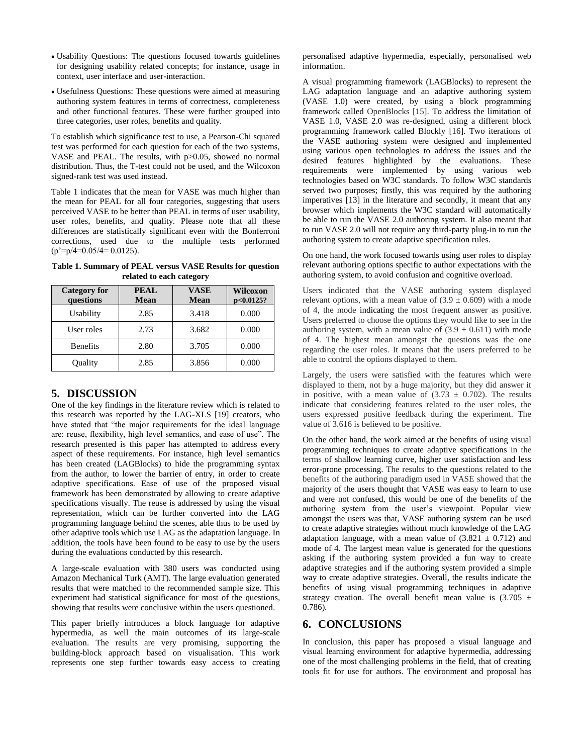- Usability Questions: The questions focused towards guidelines for designing usability related concepts; for instance, usage in context, user interface and user-interaction.
- Usefulness Questions: These questions were aimed at measuring authoring system features in terms of correctness, completeness and other functional features. These were further grouped into three categories, user roles, benefits and quality.

To establish which significance test to use, a Pearson-Chi squared test was performed for each question for each of the two systems, VASE and PEAL. The results, with p>0.05, showed no normal distribution. Thus, the T-test could not be used, and the Wilcoxon signed-rank test was used instead[.](#page-4-0)

[Table 1](#page-4-0) indicates that the mean for VASE was much higher than the mean for PEAL for all four categories, suggesting that users perceived VASE to be better than PEAL in terms of user usability, user roles, benefits, and quality. Please note that all these differences are statistically significant even with the Bonferroni corrections, used due to the multiple tests performed  $(p'=p/4=0.05/4=0.0125)$ .

<span id="page-4-0"></span>**Table 1. Summary of PEAL versus VASE Results for question related to each category**

| <b>Category for</b> | <b>PEAL</b> | <b>VASE</b> | <b>Wilcoxon</b> |
|---------------------|-------------|-------------|-----------------|
| questions           | <b>Mean</b> | Mean        | $p<0.0125$ ?    |
| Usability           | 2.85        | 3.418       | 0.000           |
| User roles          | 2.73        | 3.682       | 0.000           |
| <b>Benefits</b>     | 2.80        | 3.705       | 0.000           |
| Quality             | 2.85        | 3.856       | 0.000           |

## **5. DISCUSSION**

One of the key findings in the literature review which is related to this research was reported by the LAG-XLS [19] creators, who have stated that "the major requirements for the ideal language are: reuse, flexibility, high level semantics, and ease of use". The research presented is this paper has attempted to address every aspect of these requirements. For instance, high level semantics has been created (LAGBlocks) to hide the programming syntax from the author, to lower the barrier of entry, in order to create adaptive specifications. Ease of use of the proposed visual framework has been demonstrated by allowing to create adaptive specifications visually. The reuse is addressed by using the visual representation, which can be further converted into the LAG programming language behind the scenes, able thus to be used by other adaptive tools which use LAG as the adaptation language. In addition, the tools have been found to be easy to use by the users during the evaluations conducted by this research.

A large-scale evaluation with 380 users was conducted using Amazon Mechanical Turk (AMT). The large evaluation generated results that were matched to the recommended sample size. This experiment had statistical significance for most of the questions, showing that results were conclusive within the users questioned.

This paper briefly introduces a block language for adaptive hypermedia, as well the main outcomes of its large-scale evaluation. The results are very promising, supporting the building-block approach based on visualisation. This work represents one step further towards easy access to creating personalised adaptive hypermedia, especially, personalised web information.

A visual programming framework (LAGBlocks) to represent the LAG adaptation language and an adaptive authoring system (VASE 1.0) were created, by using a block programming framework called OpenBlocks [15]. To address the limitation of VASE 1.0, VASE 2.0 was re-designed, using a different block programming framework called Blockly [16]. Two iterations of the VASE authoring system were designed and implemented using various open technologies to address the issues and the desired features highlighted by the evaluations. These requirements were implemented by using various web technologies based on W3C standards. To follow W3C standards served two purposes; firstly, this was required by the authoring imperatives [13] in the literature and secondly, it meant that any browser which implements the W3C standard will automatically be able to run the VASE 2.0 authoring system. It also meant that to run VASE 2.0 will not require any third-party plug-in to run the authoring system to create adaptive specification rules.

On one hand, the work focused towards using user roles to display relevant authoring options specific to author expectations with the authoring system, to avoid confusion and cognitive overload.

Users indicated that the VASE authoring system displayed relevant options, with a mean value of  $(3.9 \pm 0.609)$  with a mode of 4, the mode indicating the most frequent answer as positive. Users preferred to choose the options they would like to see in the authoring system, with a mean value of  $(3.9 \pm 0.611)$  with mode of 4. The highest mean amongst the questions was the one regarding the user roles. It means that the users preferred to be able to control the options displayed to them.

Largely, the users were satisfied with the features which were displayed to them, not by a huge majority, but they did answer it in positive, with a mean value of  $(3.73 \pm 0.702)$ . The results indicate that considering features related to the user roles, the users expressed positive feedback during the experiment. The value of 3.616 is believed to be positive.

On the other hand, the work aimed at the benefits of using visual programming techniques to create adaptive specifications in the terms of shallow learning curve, higher user satisfaction and less error-prone processing. The results to the questions related to the benefits of the authoring paradigm used in VASE showed that the majority of the users thought that VASE was easy to learn to use and were not confused, this would be one of the benefits of the authoring system from the user's viewpoint. Popular view amongst the users was that, VASE authoring system can be used to create adaptive strategies without much knowledge of the LAG adaptation language, with a mean value of  $(3.821 \pm 0.712)$  and mode of 4. The largest mean value is generated for the questions asking if the authoring system provided a fun way to create adaptive strategies and if the authoring system provided a simple way to create adaptive strategies. Overall, the results indicate the benefits of using visual programming techniques in adaptive strategy creation. The overall benefit mean value is  $(3.705 \pm$ 0.786).

## **6. CONCLUSIONS**

In conclusion, this paper has proposed a visual language and visual learning environment for adaptive hypermedia, addressing one of the most challenging problems in the field, that of creating tools fit for use for authors. The environment and proposal has